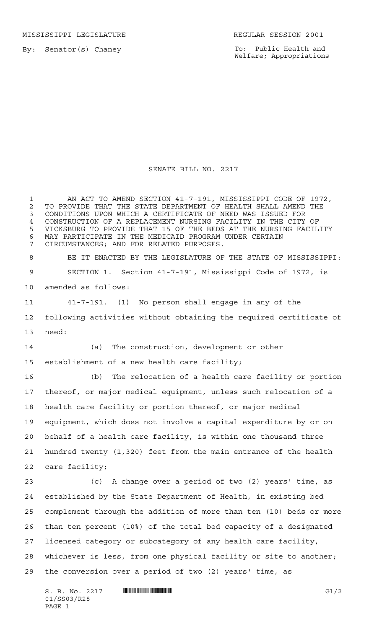MISSISSIPPI LEGISLATURE **REGULAR SESSION 2001** 

By: Senator(s) Chaney

To: Public Health and Welfare; Appropriations

## SENATE BILL NO. 2217

1 AN ACT TO AMEND SECTION 41-7-191, MISSISSIPPI CODE OF 1972, 2 TO PROVIDE THAT THE STATE DEPARTMENT OF HEALTH SHALL AMEND THE<br>3 CONDITIONS UPON WHICH A CERTIFICATE OF NEED WAS ISSUED FOR CONDITIONS UPON WHICH A CERTIFICATE OF NEED WAS ISSUED FOR 4 CONSTRUCTION OF A REPLACEMENT NURSING FACILITY IN THE CITY OF<br>5 VICKSBURG TO PROVIDE THAT 15 OF THE BEDS AT THE NURSING FACIL VICKSBURG TO PROVIDE THAT 15 OF THE BEDS AT THE NURSING FACILITY MAY PARTICIPATE IN THE MEDICAID PROGRAM UNDER CERTAIN CIRCUMSTANCES; AND FOR RELATED PURPOSES. BE IT ENACTED BY THE LEGISLATURE OF THE STATE OF MISSISSIPPI: SECTION 1. Section 41-7-191, Mississippi Code of 1972, is amended as follows: 41-7-191. (1) No person shall engage in any of the following activities without obtaining the required certificate of need: (a) The construction, development or other establishment of a new health care facility; (b) The relocation of a health care facility or portion thereof, or major medical equipment, unless such relocation of a health care facility or portion thereof, or major medical equipment, which does not involve a capital expenditure by or on behalf of a health care facility, is within one thousand three hundred twenty (1,320) feet from the main entrance of the health care facility; (c) A change over a period of two (2) years' time, as established by the State Department of Health, in existing bed complement through the addition of more than ten (10) beds or more than ten percent (10%) of the total bed capacity of a designated licensed category or subcategory of any health care facility, whichever is less, from one physical facility or site to another; the conversion over a period of two (2) years' time, as

 $S. B. No. 2217$   $\blacksquare$   $\blacksquare$   $\blacksquare$   $\blacksquare$   $\blacksquare$   $\blacksquare$   $\blacksquare$   $\blacksquare$   $\blacksquare$   $\blacksquare$   $\blacksquare$   $\blacksquare$   $\blacksquare$   $\blacksquare$   $\blacksquare$   $\blacksquare$   $\blacksquare$   $\blacksquare$   $\blacksquare$   $\blacksquare$   $\blacksquare$   $\blacksquare$   $\blacksquare$   $\blacksquare$   $\blacksquare$   $\blacksquare$   $\blacksquare$   $\blacksquare$   $\blacksquare$   $\blacks$ 01/SS03/R28 PAGE 1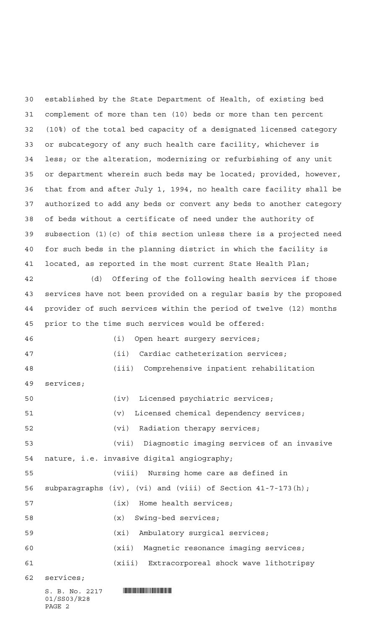$S. B. No. 2217$  **INSTERNATION**  established by the State Department of Health, of existing bed complement of more than ten (10) beds or more than ten percent (10%) of the total bed capacity of a designated licensed category or subcategory of any such health care facility, whichever is less; or the alteration, modernizing or refurbishing of any unit or department wherein such beds may be located; provided, however, that from and after July 1, 1994, no health care facility shall be authorized to add any beds or convert any beds to another category of beds without a certificate of need under the authority of subsection (1)(c) of this section unless there is a projected need for such beds in the planning district in which the facility is located, as reported in the most current State Health Plan; (d) Offering of the following health services if those services have not been provided on a regular basis by the proposed provider of such services within the period of twelve (12) months prior to the time such services would be offered: (i) Open heart surgery services; (ii) Cardiac catheterization services; (iii) Comprehensive inpatient rehabilitation services; (iv) Licensed psychiatric services; (v) Licensed chemical dependency services; (vi) Radiation therapy services; (vii) Diagnostic imaging services of an invasive nature, i.e. invasive digital angiography; (viii) Nursing home care as defined in subparagraphs (iv), (vi) and (viii) of Section 41-7-173(h); (ix) Home health services; (x) Swing-bed services; (xi) Ambulatory surgical services; (xii) Magnetic resonance imaging services; (xiii) Extracorporeal shock wave lithotripsy services;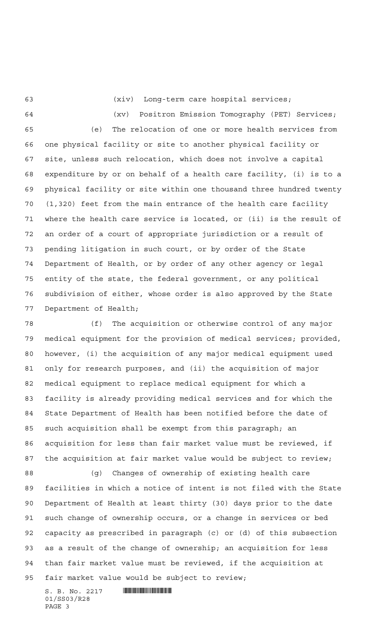(xiv) Long-term care hospital services;

 (xv) Positron Emission Tomography (PET) Services; (e) The relocation of one or more health services from one physical facility or site to another physical facility or site, unless such relocation, which does not involve a capital expenditure by or on behalf of a health care facility, (i) is to a physical facility or site within one thousand three hundred twenty (1,320) feet from the main entrance of the health care facility where the health care service is located, or (ii) is the result of an order of a court of appropriate jurisdiction or a result of pending litigation in such court, or by order of the State Department of Health, or by order of any other agency or legal entity of the state, the federal government, or any political subdivision of either, whose order is also approved by the State Department of Health;

 (f) The acquisition or otherwise control of any major medical equipment for the provision of medical services; provided, however, (i) the acquisition of any major medical equipment used only for research purposes, and (ii) the acquisition of major medical equipment to replace medical equipment for which a facility is already providing medical services and for which the State Department of Health has been notified before the date of such acquisition shall be exempt from this paragraph; an acquisition for less than fair market value must be reviewed, if the acquisition at fair market value would be subject to review;

 (g) Changes of ownership of existing health care facilities in which a notice of intent is not filed with the State Department of Health at least thirty (30) days prior to the date such change of ownership occurs, or a change in services or bed capacity as prescribed in paragraph (c) or (d) of this subsection as a result of the change of ownership; an acquisition for less than fair market value must be reviewed, if the acquisition at fair market value would be subject to review;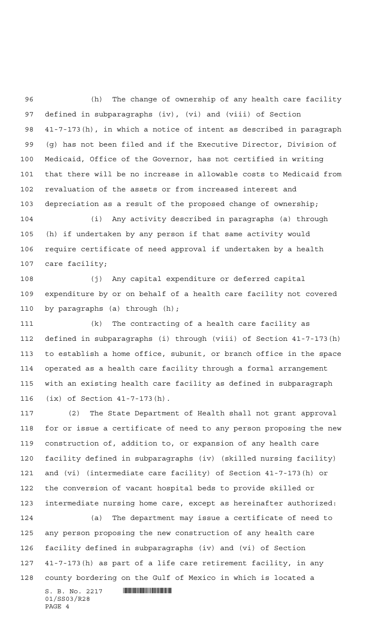(h) The change of ownership of any health care facility defined in subparagraphs (iv), (vi) and (viii) of Section 41-7-173(h), in which a notice of intent as described in paragraph (g) has not been filed and if the Executive Director, Division of Medicaid, Office of the Governor, has not certified in writing that there will be no increase in allowable costs to Medicaid from revaluation of the assets or from increased interest and depreciation as a result of the proposed change of ownership;

 (i) Any activity described in paragraphs (a) through (h) if undertaken by any person if that same activity would require certificate of need approval if undertaken by a health care facility;

 (j) Any capital expenditure or deferred capital expenditure by or on behalf of a health care facility not covered by paragraphs (a) through (h);

 (k) The contracting of a health care facility as defined in subparagraphs (i) through (viii) of Section 41-7-173(h) to establish a home office, subunit, or branch office in the space operated as a health care facility through a formal arrangement with an existing health care facility as defined in subparagraph (ix) of Section 41-7-173(h).

 (2) The State Department of Health shall not grant approval for or issue a certificate of need to any person proposing the new construction of, addition to, or expansion of any health care facility defined in subparagraphs (iv) (skilled nursing facility) and (vi) (intermediate care facility) of Section 41-7-173(h) or the conversion of vacant hospital beds to provide skilled or intermediate nursing home care, except as hereinafter authorized:

 (a) The department may issue a certificate of need to any person proposing the new construction of any health care facility defined in subparagraphs (iv) and (vi) of Section 41-7-173(h) as part of a life care retirement facility, in any county bordering on the Gulf of Mexico in which is located a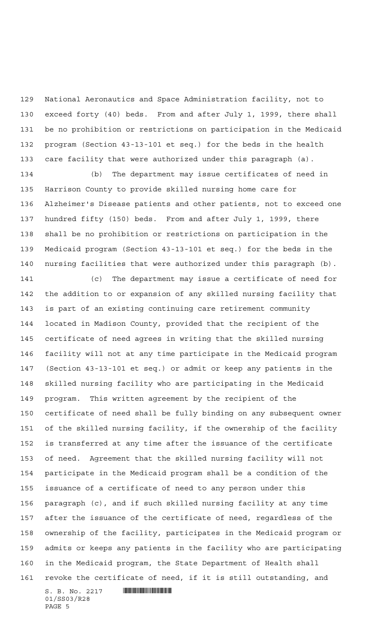National Aeronautics and Space Administration facility, not to exceed forty (40) beds. From and after July 1, 1999, there shall be no prohibition or restrictions on participation in the Medicaid program (Section 43-13-101 et seq.) for the beds in the health care facility that were authorized under this paragraph (a).

 (b) The department may issue certificates of need in Harrison County to provide skilled nursing home care for Alzheimer's Disease patients and other patients, not to exceed one hundred fifty (150) beds. From and after July 1, 1999, there shall be no prohibition or restrictions on participation in the Medicaid program (Section 43-13-101 et seq.) for the beds in the nursing facilities that were authorized under this paragraph (b).

 (c) The department may issue a certificate of need for the addition to or expansion of any skilled nursing facility that is part of an existing continuing care retirement community located in Madison County, provided that the recipient of the certificate of need agrees in writing that the skilled nursing facility will not at any time participate in the Medicaid program (Section 43-13-101 et seq.) or admit or keep any patients in the skilled nursing facility who are participating in the Medicaid program. This written agreement by the recipient of the certificate of need shall be fully binding on any subsequent owner of the skilled nursing facility, if the ownership of the facility is transferred at any time after the issuance of the certificate of need. Agreement that the skilled nursing facility will not participate in the Medicaid program shall be a condition of the issuance of a certificate of need to any person under this paragraph (c), and if such skilled nursing facility at any time after the issuance of the certificate of need, regardless of the ownership of the facility, participates in the Medicaid program or admits or keeps any patients in the facility who are participating in the Medicaid program, the State Department of Health shall revoke the certificate of need, if it is still outstanding, and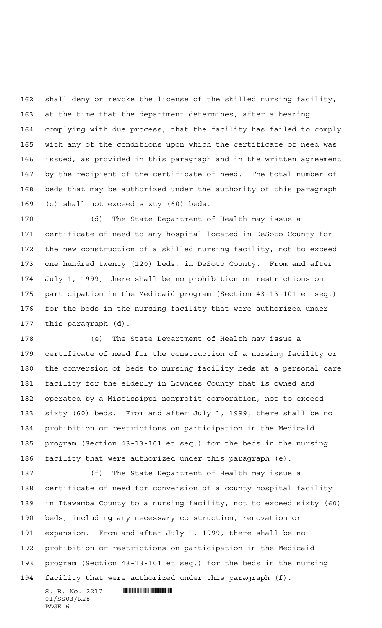shall deny or revoke the license of the skilled nursing facility, at the time that the department determines, after a hearing complying with due process, that the facility has failed to comply with any of the conditions upon which the certificate of need was issued, as provided in this paragraph and in the written agreement by the recipient of the certificate of need. The total number of beds that may be authorized under the authority of this paragraph (c) shall not exceed sixty (60) beds.

 (d) The State Department of Health may issue a certificate of need to any hospital located in DeSoto County for the new construction of a skilled nursing facility, not to exceed one hundred twenty (120) beds, in DeSoto County. From and after July 1, 1999, there shall be no prohibition or restrictions on participation in the Medicaid program (Section 43-13-101 et seq.) for the beds in the nursing facility that were authorized under this paragraph (d).

 (e) The State Department of Health may issue a certificate of need for the construction of a nursing facility or the conversion of beds to nursing facility beds at a personal care facility for the elderly in Lowndes County that is owned and operated by a Mississippi nonprofit corporation, not to exceed sixty (60) beds. From and after July 1, 1999, there shall be no prohibition or restrictions on participation in the Medicaid program (Section 43-13-101 et seq.) for the beds in the nursing facility that were authorized under this paragraph (e).

 (f) The State Department of Health may issue a certificate of need for conversion of a county hospital facility in Itawamba County to a nursing facility, not to exceed sixty (60) beds, including any necessary construction, renovation or expansion. From and after July 1, 1999, there shall be no prohibition or restrictions on participation in the Medicaid program (Section 43-13-101 et seq.) for the beds in the nursing facility that were authorized under this paragraph (f).

 $S. B. No. 2217$  . The set of  $S. B. N_O. 2217$ 01/SS03/R28 PAGE 6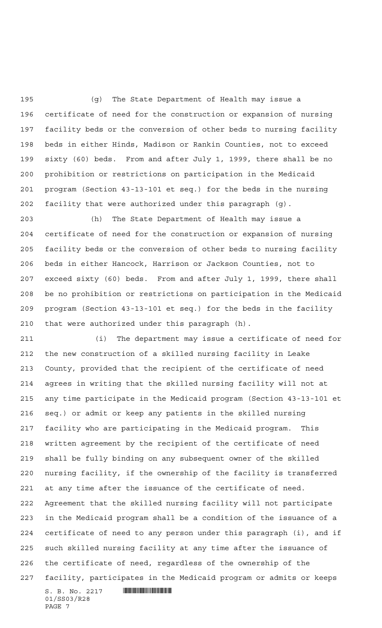(g) The State Department of Health may issue a certificate of need for the construction or expansion of nursing facility beds or the conversion of other beds to nursing facility beds in either Hinds, Madison or Rankin Counties, not to exceed sixty (60) beds. From and after July 1, 1999, there shall be no prohibition or restrictions on participation in the Medicaid program (Section 43-13-101 et seq.) for the beds in the nursing facility that were authorized under this paragraph (g).

 (h) The State Department of Health may issue a certificate of need for the construction or expansion of nursing facility beds or the conversion of other beds to nursing facility beds in either Hancock, Harrison or Jackson Counties, not to exceed sixty (60) beds. From and after July 1, 1999, there shall be no prohibition or restrictions on participation in the Medicaid program (Section 43-13-101 et seq.) for the beds in the facility that were authorized under this paragraph (h).

 $S. B. No. 2217$  **INSTERNAL SET AND ALL STATES**  (i) The department may issue a certificate of need for the new construction of a skilled nursing facility in Leake County, provided that the recipient of the certificate of need agrees in writing that the skilled nursing facility will not at any time participate in the Medicaid program (Section 43-13-101 et seq.) or admit or keep any patients in the skilled nursing facility who are participating in the Medicaid program. This written agreement by the recipient of the certificate of need shall be fully binding on any subsequent owner of the skilled nursing facility, if the ownership of the facility is transferred at any time after the issuance of the certificate of need. Agreement that the skilled nursing facility will not participate in the Medicaid program shall be a condition of the issuance of a certificate of need to any person under this paragraph (i), and if such skilled nursing facility at any time after the issuance of the certificate of need, regardless of the ownership of the facility, participates in the Medicaid program or admits or keeps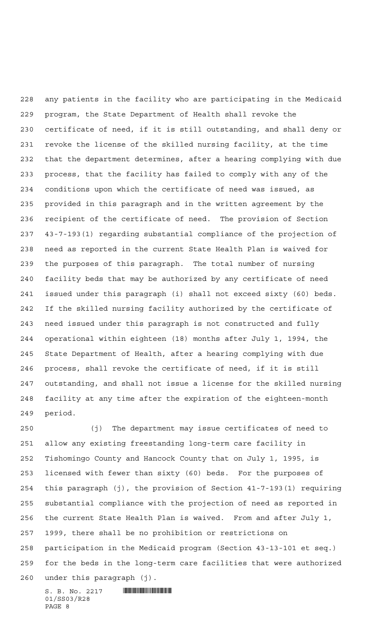any patients in the facility who are participating in the Medicaid program, the State Department of Health shall revoke the certificate of need, if it is still outstanding, and shall deny or revoke the license of the skilled nursing facility, at the time that the department determines, after a hearing complying with due process, that the facility has failed to comply with any of the conditions upon which the certificate of need was issued, as provided in this paragraph and in the written agreement by the recipient of the certificate of need. The provision of Section 43-7-193(1) regarding substantial compliance of the projection of need as reported in the current State Health Plan is waived for the purposes of this paragraph. The total number of nursing facility beds that may be authorized by any certificate of need issued under this paragraph (i) shall not exceed sixty (60) beds. If the skilled nursing facility authorized by the certificate of need issued under this paragraph is not constructed and fully operational within eighteen (18) months after July 1, 1994, the State Department of Health, after a hearing complying with due process, shall revoke the certificate of need, if it is still outstanding, and shall not issue a license for the skilled nursing facility at any time after the expiration of the eighteen-month period.

 (j) The department may issue certificates of need to allow any existing freestanding long-term care facility in Tishomingo County and Hancock County that on July 1, 1995, is licensed with fewer than sixty (60) beds. For the purposes of this paragraph (j), the provision of Section 41-7-193(1) requiring substantial compliance with the projection of need as reported in the current State Health Plan is waived. From and after July 1, 1999, there shall be no prohibition or restrictions on participation in the Medicaid program (Section 43-13-101 et seq.) for the beds in the long-term care facilities that were authorized under this paragraph (j).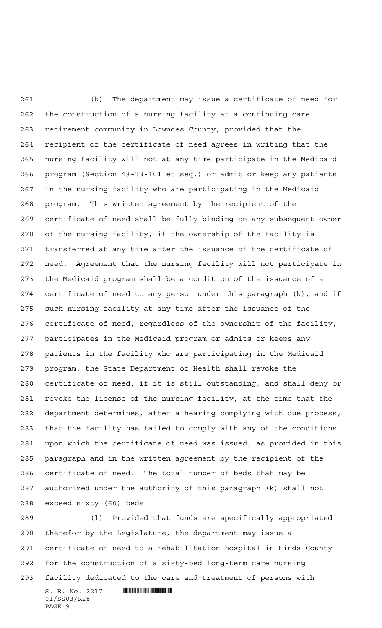(k) The department may issue a certificate of need for the construction of a nursing facility at a continuing care retirement community in Lowndes County, provided that the recipient of the certificate of need agrees in writing that the nursing facility will not at any time participate in the Medicaid program (Section 43-13-101 et seq.) or admit or keep any patients in the nursing facility who are participating in the Medicaid program. This written agreement by the recipient of the certificate of need shall be fully binding on any subsequent owner of the nursing facility, if the ownership of the facility is transferred at any time after the issuance of the certificate of need. Agreement that the nursing facility will not participate in the Medicaid program shall be a condition of the issuance of a certificate of need to any person under this paragraph (k), and if such nursing facility at any time after the issuance of the certificate of need, regardless of the ownership of the facility, participates in the Medicaid program or admits or keeps any patients in the facility who are participating in the Medicaid program, the State Department of Health shall revoke the certificate of need, if it is still outstanding, and shall deny or revoke the license of the nursing facility, at the time that the department determines, after a hearing complying with due process, that the facility has failed to comply with any of the conditions upon which the certificate of need was issued, as provided in this paragraph and in the written agreement by the recipient of the certificate of need. The total number of beds that may be authorized under the authority of this paragraph (k) shall not exceed sixty (60) beds.

 (l) Provided that funds are specifically appropriated therefor by the Legislature, the department may issue a certificate of need to a rehabilitation hospital in Hinds County for the construction of a sixty-bed long-term care nursing facility dedicated to the care and treatment of persons with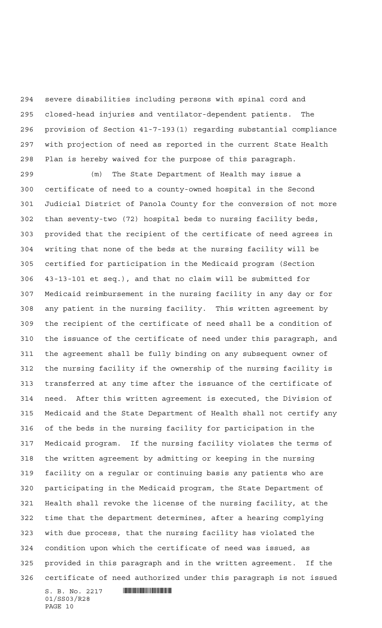severe disabilities including persons with spinal cord and closed-head injuries and ventilator-dependent patients. The provision of Section 41-7-193(1) regarding substantial compliance with projection of need as reported in the current State Health Plan is hereby waived for the purpose of this paragraph.

 $S. B. No. 2217$  **INSTERNAL SET AND ALL STATES**  (m) The State Department of Health may issue a certificate of need to a county-owned hospital in the Second Judicial District of Panola County for the conversion of not more than seventy-two (72) hospital beds to nursing facility beds, provided that the recipient of the certificate of need agrees in writing that none of the beds at the nursing facility will be certified for participation in the Medicaid program (Section 43-13-101 et seq.), and that no claim will be submitted for Medicaid reimbursement in the nursing facility in any day or for any patient in the nursing facility. This written agreement by the recipient of the certificate of need shall be a condition of the issuance of the certificate of need under this paragraph, and the agreement shall be fully binding on any subsequent owner of the nursing facility if the ownership of the nursing facility is transferred at any time after the issuance of the certificate of need. After this written agreement is executed, the Division of Medicaid and the State Department of Health shall not certify any of the beds in the nursing facility for participation in the Medicaid program. If the nursing facility violates the terms of the written agreement by admitting or keeping in the nursing facility on a regular or continuing basis any patients who are participating in the Medicaid program, the State Department of Health shall revoke the license of the nursing facility, at the time that the department determines, after a hearing complying with due process, that the nursing facility has violated the condition upon which the certificate of need was issued, as provided in this paragraph and in the written agreement. If the certificate of need authorized under this paragraph is not issued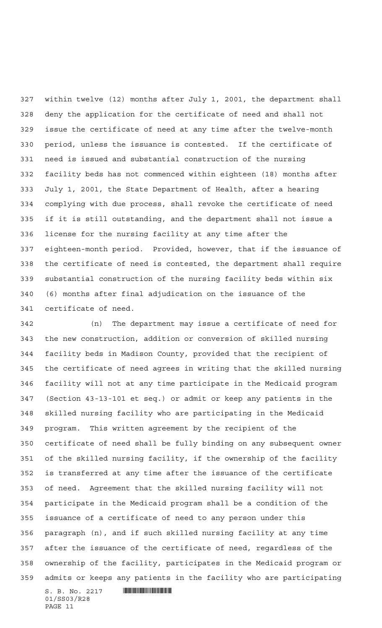within twelve (12) months after July 1, 2001, the department shall deny the application for the certificate of need and shall not issue the certificate of need at any time after the twelve-month period, unless the issuance is contested. If the certificate of need is issued and substantial construction of the nursing facility beds has not commenced within eighteen (18) months after July 1, 2001, the State Department of Health, after a hearing complying with due process, shall revoke the certificate of need if it is still outstanding, and the department shall not issue a license for the nursing facility at any time after the eighteen-month period. Provided, however, that if the issuance of the certificate of need is contested, the department shall require substantial construction of the nursing facility beds within six (6) months after final adjudication on the issuance of the certificate of need.

 $S. B. No. 2217$  **INSTERNAL SET AND ALL STATES**  (n) The department may issue a certificate of need for the new construction, addition or conversion of skilled nursing facility beds in Madison County, provided that the recipient of the certificate of need agrees in writing that the skilled nursing facility will not at any time participate in the Medicaid program (Section 43-13-101 et seq.) or admit or keep any patients in the skilled nursing facility who are participating in the Medicaid program. This written agreement by the recipient of the certificate of need shall be fully binding on any subsequent owner of the skilled nursing facility, if the ownership of the facility is transferred at any time after the issuance of the certificate of need. Agreement that the skilled nursing facility will not participate in the Medicaid program shall be a condition of the issuance of a certificate of need to any person under this paragraph (n), and if such skilled nursing facility at any time after the issuance of the certificate of need, regardless of the ownership of the facility, participates in the Medicaid program or admits or keeps any patients in the facility who are participating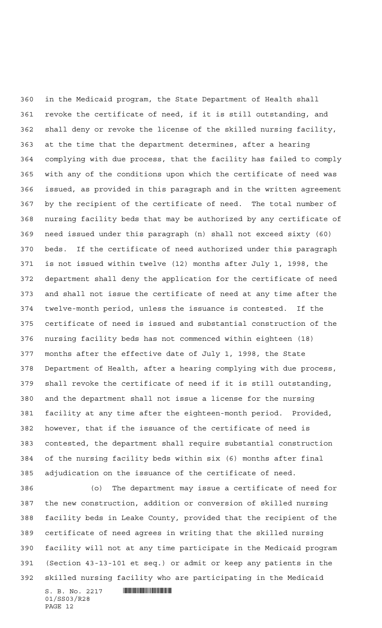in the Medicaid program, the State Department of Health shall revoke the certificate of need, if it is still outstanding, and shall deny or revoke the license of the skilled nursing facility, at the time that the department determines, after a hearing complying with due process, that the facility has failed to comply with any of the conditions upon which the certificate of need was issued, as provided in this paragraph and in the written agreement by the recipient of the certificate of need. The total number of nursing facility beds that may be authorized by any certificate of need issued under this paragraph (n) shall not exceed sixty (60) beds. If the certificate of need authorized under this paragraph is not issued within twelve (12) months after July 1, 1998, the department shall deny the application for the certificate of need and shall not issue the certificate of need at any time after the twelve-month period, unless the issuance is contested. If the certificate of need is issued and substantial construction of the nursing facility beds has not commenced within eighteen (18) months after the effective date of July 1, 1998, the State Department of Health, after a hearing complying with due process, shall revoke the certificate of need if it is still outstanding, and the department shall not issue a license for the nursing facility at any time after the eighteen-month period. Provided, however, that if the issuance of the certificate of need is contested, the department shall require substantial construction of the nursing facility beds within six (6) months after final adjudication on the issuance of the certificate of need.

 (o) The department may issue a certificate of need for the new construction, addition or conversion of skilled nursing facility beds in Leake County, provided that the recipient of the certificate of need agrees in writing that the skilled nursing facility will not at any time participate in the Medicaid program (Section 43-13-101 et seq.) or admit or keep any patients in the skilled nursing facility who are participating in the Medicaid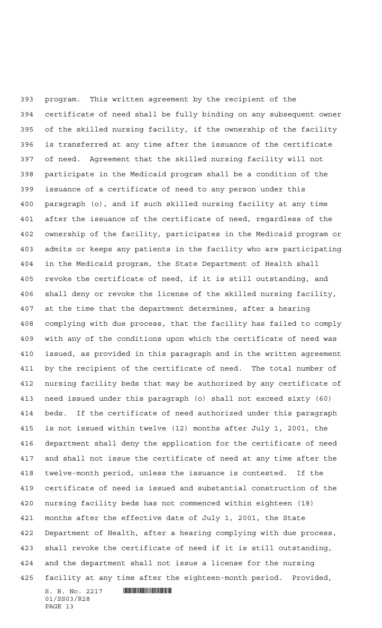$S. B. No. 2217$  **INSTERNAL SET AND ALL STATES**  program. This written agreement by the recipient of the certificate of need shall be fully binding on any subsequent owner of the skilled nursing facility, if the ownership of the facility is transferred at any time after the issuance of the certificate of need. Agreement that the skilled nursing facility will not participate in the Medicaid program shall be a condition of the issuance of a certificate of need to any person under this paragraph (o), and if such skilled nursing facility at any time after the issuance of the certificate of need, regardless of the ownership of the facility, participates in the Medicaid program or admits or keeps any patients in the facility who are participating in the Medicaid program, the State Department of Health shall revoke the certificate of need, if it is still outstanding, and shall deny or revoke the license of the skilled nursing facility, at the time that the department determines, after a hearing complying with due process, that the facility has failed to comply with any of the conditions upon which the certificate of need was issued, as provided in this paragraph and in the written agreement by the recipient of the certificate of need. The total number of nursing facility beds that may be authorized by any certificate of need issued under this paragraph (o) shall not exceed sixty (60) beds. If the certificate of need authorized under this paragraph is not issued within twelve (12) months after July 1, 2001, the department shall deny the application for the certificate of need and shall not issue the certificate of need at any time after the twelve-month period, unless the issuance is contested. If the certificate of need is issued and substantial construction of the nursing facility beds has not commenced within eighteen (18) months after the effective date of July 1, 2001, the State Department of Health, after a hearing complying with due process, shall revoke the certificate of need if it is still outstanding, and the department shall not issue a license for the nursing facility at any time after the eighteen-month period. Provided,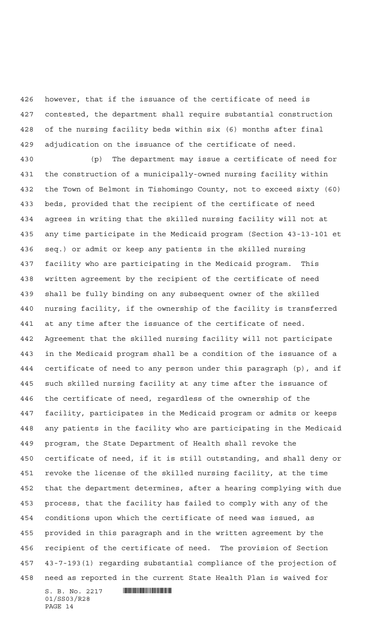however, that if the issuance of the certificate of need is contested, the department shall require substantial construction of the nursing facility beds within six (6) months after final adjudication on the issuance of the certificate of need.

 (p) The department may issue a certificate of need for the construction of a municipally-owned nursing facility within the Town of Belmont in Tishomingo County, not to exceed sixty (60) beds, provided that the recipient of the certificate of need agrees in writing that the skilled nursing facility will not at any time participate in the Medicaid program (Section 43-13-101 et seq.) or admit or keep any patients in the skilled nursing facility who are participating in the Medicaid program. This written agreement by the recipient of the certificate of need shall be fully binding on any subsequent owner of the skilled nursing facility, if the ownership of the facility is transferred at any time after the issuance of the certificate of need. Agreement that the skilled nursing facility will not participate in the Medicaid program shall be a condition of the issuance of a certificate of need to any person under this paragraph (p), and if such skilled nursing facility at any time after the issuance of the certificate of need, regardless of the ownership of the facility, participates in the Medicaid program or admits or keeps any patients in the facility who are participating in the Medicaid program, the State Department of Health shall revoke the certificate of need, if it is still outstanding, and shall deny or revoke the license of the skilled nursing facility, at the time that the department determines, after a hearing complying with due process, that the facility has failed to comply with any of the conditions upon which the certificate of need was issued, as provided in this paragraph and in the written agreement by the recipient of the certificate of need. The provision of Section 43-7-193(1) regarding substantial compliance of the projection of need as reported in the current State Health Plan is waived for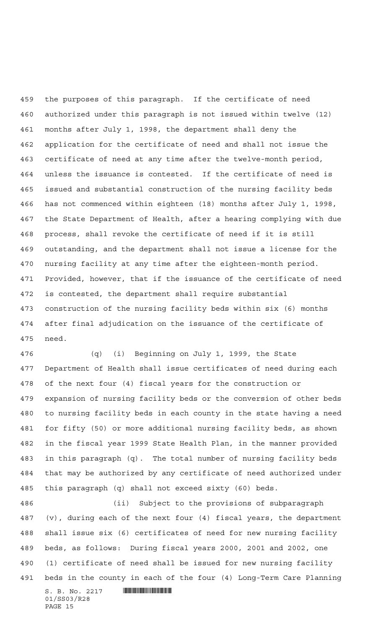the purposes of this paragraph. If the certificate of need authorized under this paragraph is not issued within twelve (12) months after July 1, 1998, the department shall deny the application for the certificate of need and shall not issue the certificate of need at any time after the twelve-month period, unless the issuance is contested. If the certificate of need is issued and substantial construction of the nursing facility beds has not commenced within eighteen (18) months after July 1, 1998, the State Department of Health, after a hearing complying with due process, shall revoke the certificate of need if it is still outstanding, and the department shall not issue a license for the nursing facility at any time after the eighteen-month period. Provided, however, that if the issuance of the certificate of need is contested, the department shall require substantial construction of the nursing facility beds within six (6) months after final adjudication on the issuance of the certificate of need.

 (q) (i) Beginning on July 1, 1999, the State Department of Health shall issue certificates of need during each of the next four (4) fiscal years for the construction or expansion of nursing facility beds or the conversion of other beds to nursing facility beds in each county in the state having a need for fifty (50) or more additional nursing facility beds, as shown in the fiscal year 1999 State Health Plan, in the manner provided in this paragraph (q). The total number of nursing facility beds that may be authorized by any certificate of need authorized under this paragraph (q) shall not exceed sixty (60) beds.

 (ii) Subject to the provisions of subparagraph (v), during each of the next four (4) fiscal years, the department shall issue six (6) certificates of need for new nursing facility beds, as follows: During fiscal years 2000, 2001 and 2002, one (1) certificate of need shall be issued for new nursing facility beds in the county in each of the four (4) Long-Term Care Planning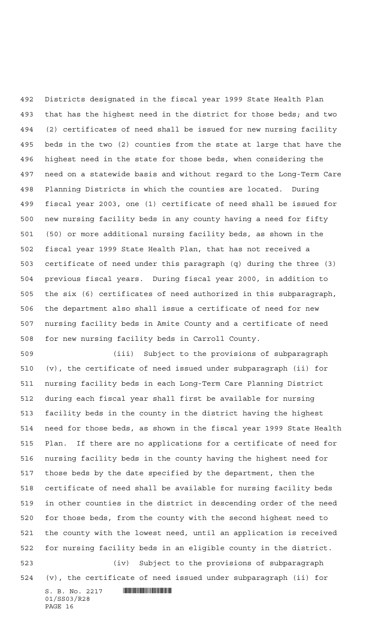Districts designated in the fiscal year 1999 State Health Plan that has the highest need in the district for those beds; and two (2) certificates of need shall be issued for new nursing facility beds in the two (2) counties from the state at large that have the highest need in the state for those beds, when considering the need on a statewide basis and without regard to the Long-Term Care Planning Districts in which the counties are located. During fiscal year 2003, one (1) certificate of need shall be issued for new nursing facility beds in any county having a need for fifty (50) or more additional nursing facility beds, as shown in the fiscal year 1999 State Health Plan, that has not received a certificate of need under this paragraph (q) during the three (3) previous fiscal years. During fiscal year 2000, in addition to the six (6) certificates of need authorized in this subparagraph, the department also shall issue a certificate of need for new nursing facility beds in Amite County and a certificate of need for new nursing facility beds in Carroll County.

 (iii) Subject to the provisions of subparagraph (v), the certificate of need issued under subparagraph (ii) for nursing facility beds in each Long-Term Care Planning District during each fiscal year shall first be available for nursing facility beds in the county in the district having the highest need for those beds, as shown in the fiscal year 1999 State Health Plan. If there are no applications for a certificate of need for nursing facility beds in the county having the highest need for those beds by the date specified by the department, then the certificate of need shall be available for nursing facility beds in other counties in the district in descending order of the need for those beds, from the county with the second highest need to the county with the lowest need, until an application is received for nursing facility beds in an eligible county in the district. (iv) Subject to the provisions of subparagraph

(v), the certificate of need issued under subparagraph (ii) for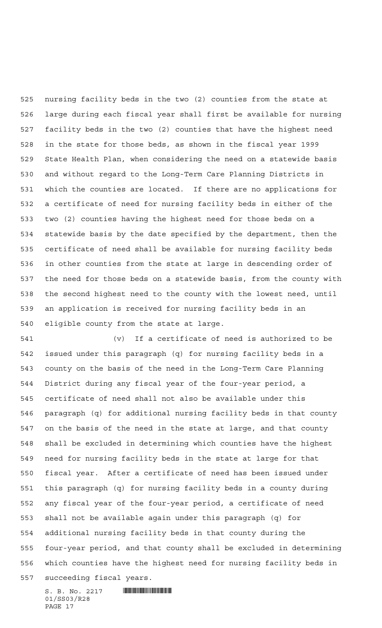nursing facility beds in the two (2) counties from the state at large during each fiscal year shall first be available for nursing facility beds in the two (2) counties that have the highest need in the state for those beds, as shown in the fiscal year 1999 State Health Plan, when considering the need on a statewide basis and without regard to the Long-Term Care Planning Districts in which the counties are located. If there are no applications for a certificate of need for nursing facility beds in either of the two (2) counties having the highest need for those beds on a statewide basis by the date specified by the department, then the certificate of need shall be available for nursing facility beds in other counties from the state at large in descending order of the need for those beds on a statewide basis, from the county with the second highest need to the county with the lowest need, until an application is received for nursing facility beds in an eligible county from the state at large.

 (v) If a certificate of need is authorized to be issued under this paragraph (q) for nursing facility beds in a county on the basis of the need in the Long-Term Care Planning District during any fiscal year of the four-year period, a certificate of need shall not also be available under this paragraph (q) for additional nursing facility beds in that county on the basis of the need in the state at large, and that county shall be excluded in determining which counties have the highest need for nursing facility beds in the state at large for that fiscal year. After a certificate of need has been issued under this paragraph (q) for nursing facility beds in a county during any fiscal year of the four-year period, a certificate of need shall not be available again under this paragraph (q) for additional nursing facility beds in that county during the four-year period, and that county shall be excluded in determining which counties have the highest need for nursing facility beds in succeeding fiscal years.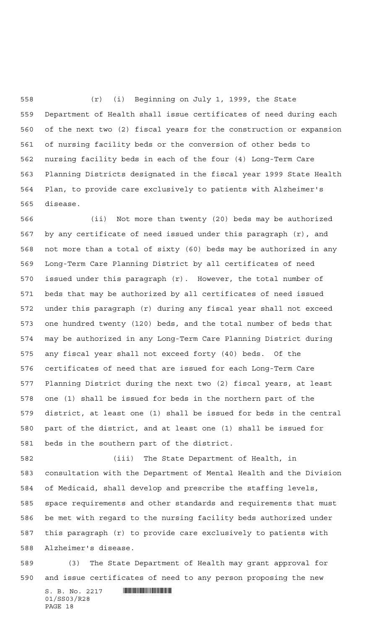(r) (i) Beginning on July 1, 1999, the State Department of Health shall issue certificates of need during each of the next two (2) fiscal years for the construction or expansion of nursing facility beds or the conversion of other beds to nursing facility beds in each of the four (4) Long-Term Care Planning Districts designated in the fiscal year 1999 State Health Plan, to provide care exclusively to patients with Alzheimer's disease.

 (ii) Not more than twenty (20) beds may be authorized by any certificate of need issued under this paragraph (r), and not more than a total of sixty (60) beds may be authorized in any Long-Term Care Planning District by all certificates of need issued under this paragraph (r). However, the total number of beds that may be authorized by all certificates of need issued under this paragraph (r) during any fiscal year shall not exceed one hundred twenty (120) beds, and the total number of beds that may be authorized in any Long-Term Care Planning District during any fiscal year shall not exceed forty (40) beds. Of the certificates of need that are issued for each Long-Term Care Planning District during the next two (2) fiscal years, at least one (1) shall be issued for beds in the northern part of the district, at least one (1) shall be issued for beds in the central part of the district, and at least one (1) shall be issued for beds in the southern part of the district.

 (iii) The State Department of Health, in consultation with the Department of Mental Health and the Division of Medicaid, shall develop and prescribe the staffing levels, space requirements and other standards and requirements that must be met with regard to the nursing facility beds authorized under this paragraph (r) to provide care exclusively to patients with Alzheimer's disease.

 (3) The State Department of Health may grant approval for and issue certificates of need to any person proposing the new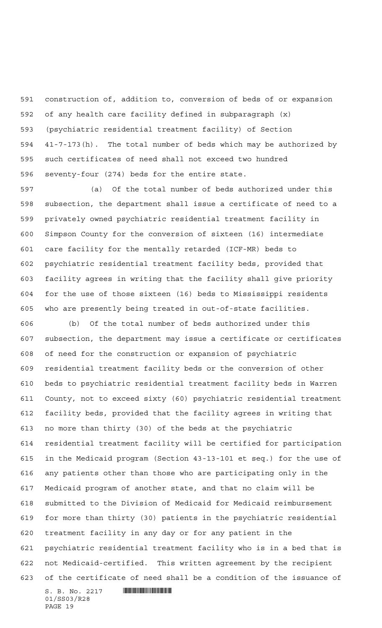construction of, addition to, conversion of beds of or expansion of any health care facility defined in subparagraph (x) (psychiatric residential treatment facility) of Section 41-7-173(h). The total number of beds which may be authorized by such certificates of need shall not exceed two hundred seventy-four (274) beds for the entire state.

 (a) Of the total number of beds authorized under this subsection, the department shall issue a certificate of need to a privately owned psychiatric residential treatment facility in Simpson County for the conversion of sixteen (16) intermediate care facility for the mentally retarded (ICF-MR) beds to psychiatric residential treatment facility beds, provided that facility agrees in writing that the facility shall give priority for the use of those sixteen (16) beds to Mississippi residents who are presently being treated in out-of-state facilities.

 $S. B. No. 2217$  **INSTERNAL SET AND ALL STATES**  (b) Of the total number of beds authorized under this subsection, the department may issue a certificate or certificates of need for the construction or expansion of psychiatric residential treatment facility beds or the conversion of other beds to psychiatric residential treatment facility beds in Warren County, not to exceed sixty (60) psychiatric residential treatment facility beds, provided that the facility agrees in writing that no more than thirty (30) of the beds at the psychiatric residential treatment facility will be certified for participation in the Medicaid program (Section 43-13-101 et seq.) for the use of any patients other than those who are participating only in the Medicaid program of another state, and that no claim will be submitted to the Division of Medicaid for Medicaid reimbursement for more than thirty (30) patients in the psychiatric residential treatment facility in any day or for any patient in the psychiatric residential treatment facility who is in a bed that is not Medicaid-certified. This written agreement by the recipient of the certificate of need shall be a condition of the issuance of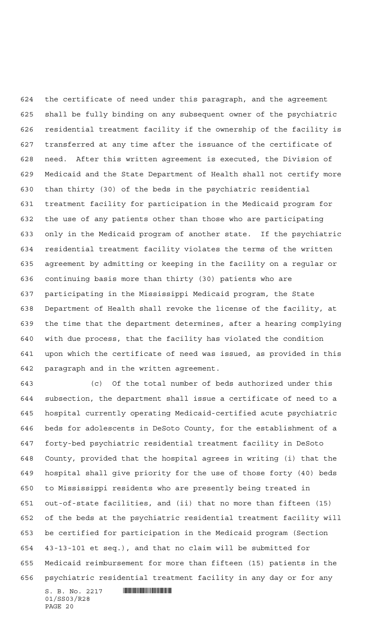the certificate of need under this paragraph, and the agreement shall be fully binding on any subsequent owner of the psychiatric residential treatment facility if the ownership of the facility is transferred at any time after the issuance of the certificate of need. After this written agreement is executed, the Division of Medicaid and the State Department of Health shall not certify more than thirty (30) of the beds in the psychiatric residential treatment facility for participation in the Medicaid program for the use of any patients other than those who are participating only in the Medicaid program of another state. If the psychiatric residential treatment facility violates the terms of the written agreement by admitting or keeping in the facility on a regular or continuing basis more than thirty (30) patients who are participating in the Mississippi Medicaid program, the State Department of Health shall revoke the license of the facility, at the time that the department determines, after a hearing complying with due process, that the facility has violated the condition upon which the certificate of need was issued, as provided in this paragraph and in the written agreement.

 (c) Of the total number of beds authorized under this subsection, the department shall issue a certificate of need to a hospital currently operating Medicaid-certified acute psychiatric beds for adolescents in DeSoto County, for the establishment of a forty-bed psychiatric residential treatment facility in DeSoto County, provided that the hospital agrees in writing (i) that the hospital shall give priority for the use of those forty (40) beds to Mississippi residents who are presently being treated in out-of-state facilities, and (ii) that no more than fifteen (15) of the beds at the psychiatric residential treatment facility will be certified for participation in the Medicaid program (Section 43-13-101 et seq.), and that no claim will be submitted for Medicaid reimbursement for more than fifteen (15) patients in the psychiatric residential treatment facility in any day or for any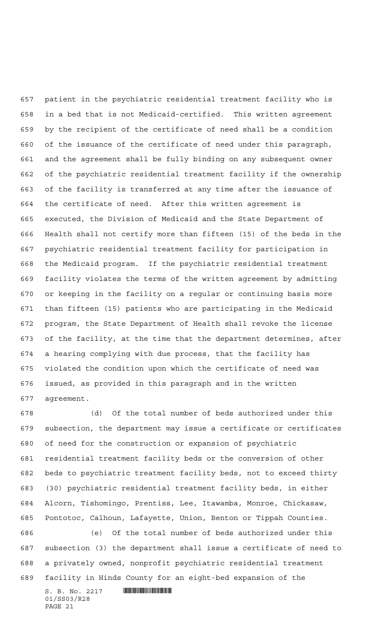patient in the psychiatric residential treatment facility who is in a bed that is not Medicaid-certified. This written agreement by the recipient of the certificate of need shall be a condition of the issuance of the certificate of need under this paragraph, and the agreement shall be fully binding on any subsequent owner of the psychiatric residential treatment facility if the ownership of the facility is transferred at any time after the issuance of the certificate of need. After this written agreement is executed, the Division of Medicaid and the State Department of Health shall not certify more than fifteen (15) of the beds in the psychiatric residential treatment facility for participation in the Medicaid program. If the psychiatric residential treatment facility violates the terms of the written agreement by admitting or keeping in the facility on a regular or continuing basis more than fifteen (15) patients who are participating in the Medicaid program, the State Department of Health shall revoke the license of the facility, at the time that the department determines, after a hearing complying with due process, that the facility has violated the condition upon which the certificate of need was issued, as provided in this paragraph and in the written agreement.

 $S. B. No. 2217$  **INSTERNAL SET AND ALL STATES**  (d) Of the total number of beds authorized under this subsection, the department may issue a certificate or certificates of need for the construction or expansion of psychiatric residential treatment facility beds or the conversion of other beds to psychiatric treatment facility beds, not to exceed thirty (30) psychiatric residential treatment facility beds, in either Alcorn, Tishomingo, Prentiss, Lee, Itawamba, Monroe, Chickasaw, Pontotoc, Calhoun, Lafayette, Union, Benton or Tippah Counties. (e) Of the total number of beds authorized under this subsection (3) the department shall issue a certificate of need to a privately owned, nonprofit psychiatric residential treatment facility in Hinds County for an eight-bed expansion of the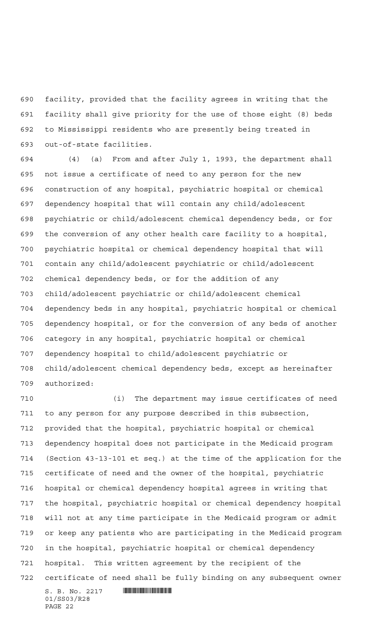facility, provided that the facility agrees in writing that the facility shall give priority for the use of those eight (8) beds to Mississippi residents who are presently being treated in out-of-state facilities.

 (4) (a) From and after July 1, 1993, the department shall not issue a certificate of need to any person for the new construction of any hospital, psychiatric hospital or chemical dependency hospital that will contain any child/adolescent psychiatric or child/adolescent chemical dependency beds, or for the conversion of any other health care facility to a hospital, psychiatric hospital or chemical dependency hospital that will contain any child/adolescent psychiatric or child/adolescent chemical dependency beds, or for the addition of any child/adolescent psychiatric or child/adolescent chemical dependency beds in any hospital, psychiatric hospital or chemical dependency hospital, or for the conversion of any beds of another category in any hospital, psychiatric hospital or chemical dependency hospital to child/adolescent psychiatric or child/adolescent chemical dependency beds, except as hereinafter authorized:

 (i) The department may issue certificates of need to any person for any purpose described in this subsection, provided that the hospital, psychiatric hospital or chemical dependency hospital does not participate in the Medicaid program (Section 43-13-101 et seq.) at the time of the application for the certificate of need and the owner of the hospital, psychiatric hospital or chemical dependency hospital agrees in writing that the hospital, psychiatric hospital or chemical dependency hospital will not at any time participate in the Medicaid program or admit or keep any patients who are participating in the Medicaid program in the hospital, psychiatric hospital or chemical dependency hospital. This written agreement by the recipient of the certificate of need shall be fully binding on any subsequent owner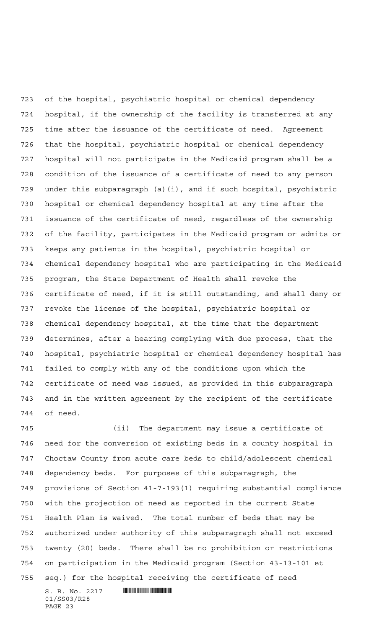of the hospital, psychiatric hospital or chemical dependency hospital, if the ownership of the facility is transferred at any time after the issuance of the certificate of need. Agreement that the hospital, psychiatric hospital or chemical dependency hospital will not participate in the Medicaid program shall be a condition of the issuance of a certificate of need to any person under this subparagraph (a)(i), and if such hospital, psychiatric hospital or chemical dependency hospital at any time after the issuance of the certificate of need, regardless of the ownership of the facility, participates in the Medicaid program or admits or keeps any patients in the hospital, psychiatric hospital or chemical dependency hospital who are participating in the Medicaid program, the State Department of Health shall revoke the certificate of need, if it is still outstanding, and shall deny or revoke the license of the hospital, psychiatric hospital or chemical dependency hospital, at the time that the department determines, after a hearing complying with due process, that the hospital, psychiatric hospital or chemical dependency hospital has failed to comply with any of the conditions upon which the certificate of need was issued, as provided in this subparagraph and in the written agreement by the recipient of the certificate of need.

 (ii) The department may issue a certificate of need for the conversion of existing beds in a county hospital in Choctaw County from acute care beds to child/adolescent chemical dependency beds. For purposes of this subparagraph, the provisions of Section 41-7-193(1) requiring substantial compliance with the projection of need as reported in the current State Health Plan is waived. The total number of beds that may be authorized under authority of this subparagraph shall not exceed twenty (20) beds. There shall be no prohibition or restrictions on participation in the Medicaid program (Section 43-13-101 et seq.) for the hospital receiving the certificate of need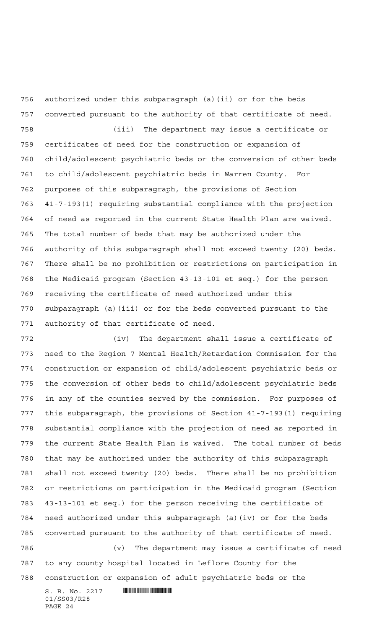authorized under this subparagraph (a)(ii) or for the beds converted pursuant to the authority of that certificate of need. (iii) The department may issue a certificate or certificates of need for the construction or expansion of child/adolescent psychiatric beds or the conversion of other beds to child/adolescent psychiatric beds in Warren County. For purposes of this subparagraph, the provisions of Section 41-7-193(1) requiring substantial compliance with the projection of need as reported in the current State Health Plan are waived. The total number of beds that may be authorized under the authority of this subparagraph shall not exceed twenty (20) beds. There shall be no prohibition or restrictions on participation in the Medicaid program (Section 43-13-101 et seq.) for the person receiving the certificate of need authorized under this subparagraph (a)(iii) or for the beds converted pursuant to the authority of that certificate of need.

 (iv) The department shall issue a certificate of need to the Region 7 Mental Health/Retardation Commission for the construction or expansion of child/adolescent psychiatric beds or the conversion of other beds to child/adolescent psychiatric beds in any of the counties served by the commission. For purposes of this subparagraph, the provisions of Section 41-7-193(1) requiring substantial compliance with the projection of need as reported in the current State Health Plan is waived. The total number of beds that may be authorized under the authority of this subparagraph shall not exceed twenty (20) beds. There shall be no prohibition or restrictions on participation in the Medicaid program (Section 43-13-101 et seq.) for the person receiving the certificate of need authorized under this subparagraph (a)(iv) or for the beds converted pursuant to the authority of that certificate of need. (v) The department may issue a certificate of need to any county hospital located in Leflore County for the

 $S. B. No. 2217$  **INSTERNAL SET AND ALL STATES** construction or expansion of adult psychiatric beds or the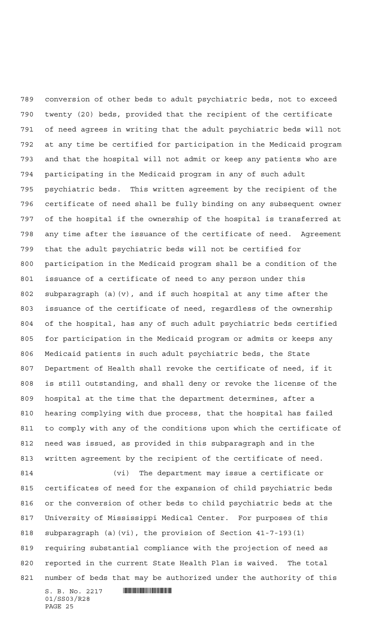conversion of other beds to adult psychiatric beds, not to exceed twenty (20) beds, provided that the recipient of the certificate of need agrees in writing that the adult psychiatric beds will not at any time be certified for participation in the Medicaid program and that the hospital will not admit or keep any patients who are participating in the Medicaid program in any of such adult psychiatric beds. This written agreement by the recipient of the certificate of need shall be fully binding on any subsequent owner of the hospital if the ownership of the hospital is transferred at any time after the issuance of the certificate of need. Agreement that the adult psychiatric beds will not be certified for participation in the Medicaid program shall be a condition of the issuance of a certificate of need to any person under this subparagraph (a)(v), and if such hospital at any time after the issuance of the certificate of need, regardless of the ownership of the hospital, has any of such adult psychiatric beds certified for participation in the Medicaid program or admits or keeps any Medicaid patients in such adult psychiatric beds, the State Department of Health shall revoke the certificate of need, if it is still outstanding, and shall deny or revoke the license of the hospital at the time that the department determines, after a hearing complying with due process, that the hospital has failed to comply with any of the conditions upon which the certificate of need was issued, as provided in this subparagraph and in the written agreement by the recipient of the certificate of need. (vi) The department may issue a certificate or

 certificates of need for the expansion of child psychiatric beds or the conversion of other beds to child psychiatric beds at the University of Mississippi Medical Center. For purposes of this subparagraph (a)(vi), the provision of Section 41-7-193(1) requiring substantial compliance with the projection of need as reported in the current State Health Plan is waived. The total number of beds that may be authorized under the authority of this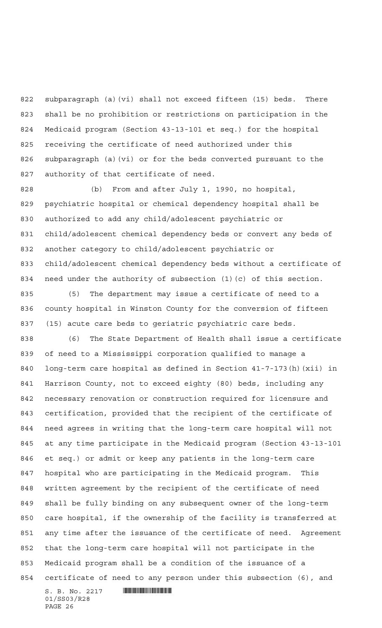subparagraph (a)(vi) shall not exceed fifteen (15) beds. There shall be no prohibition or restrictions on participation in the Medicaid program (Section 43-13-101 et seq.) for the hospital receiving the certificate of need authorized under this subparagraph (a)(vi) or for the beds converted pursuant to the authority of that certificate of need.

 (b) From and after July 1, 1990, no hospital, psychiatric hospital or chemical dependency hospital shall be authorized to add any child/adolescent psychiatric or child/adolescent chemical dependency beds or convert any beds of another category to child/adolescent psychiatric or child/adolescent chemical dependency beds without a certificate of need under the authority of subsection (1)(c) of this section.

 (5) The department may issue a certificate of need to a county hospital in Winston County for the conversion of fifteen (15) acute care beds to geriatric psychiatric care beds.

 (6) The State Department of Health shall issue a certificate of need to a Mississippi corporation qualified to manage a long-term care hospital as defined in Section 41-7-173(h)(xii) in Harrison County, not to exceed eighty (80) beds, including any necessary renovation or construction required for licensure and certification, provided that the recipient of the certificate of need agrees in writing that the long-term care hospital will not at any time participate in the Medicaid program (Section 43-13-101 et seq.) or admit or keep any patients in the long-term care hospital who are participating in the Medicaid program. This written agreement by the recipient of the certificate of need shall be fully binding on any subsequent owner of the long-term care hospital, if the ownership of the facility is transferred at any time after the issuance of the certificate of need. Agreement that the long-term care hospital will not participate in the Medicaid program shall be a condition of the issuance of a certificate of need to any person under this subsection (6), and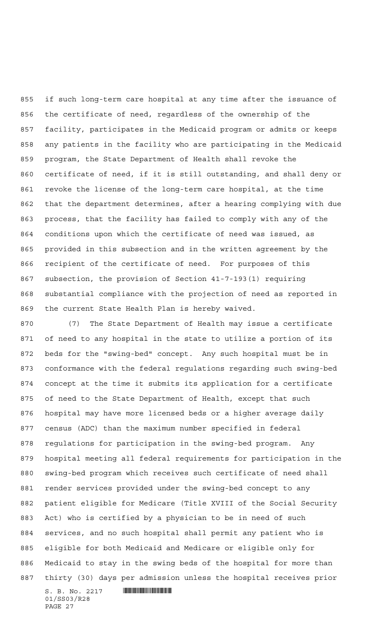if such long-term care hospital at any time after the issuance of the certificate of need, regardless of the ownership of the facility, participates in the Medicaid program or admits or keeps any patients in the facility who are participating in the Medicaid program, the State Department of Health shall revoke the certificate of need, if it is still outstanding, and shall deny or revoke the license of the long-term care hospital, at the time that the department determines, after a hearing complying with due process, that the facility has failed to comply with any of the conditions upon which the certificate of need was issued, as provided in this subsection and in the written agreement by the recipient of the certificate of need. For purposes of this subsection, the provision of Section 41-7-193(1) requiring substantial compliance with the projection of need as reported in the current State Health Plan is hereby waived.

 $S. B. No. 2217$  **INSTERNAL SET AND ALL STATES**  (7) The State Department of Health may issue a certificate of need to any hospital in the state to utilize a portion of its beds for the "swing-bed" concept. Any such hospital must be in conformance with the federal regulations regarding such swing-bed concept at the time it submits its application for a certificate of need to the State Department of Health, except that such hospital may have more licensed beds or a higher average daily census (ADC) than the maximum number specified in federal regulations for participation in the swing-bed program. Any hospital meeting all federal requirements for participation in the swing-bed program which receives such certificate of need shall render services provided under the swing-bed concept to any patient eligible for Medicare (Title XVIII of the Social Security Act) who is certified by a physician to be in need of such services, and no such hospital shall permit any patient who is eligible for both Medicaid and Medicare or eligible only for Medicaid to stay in the swing beds of the hospital for more than thirty (30) days per admission unless the hospital receives prior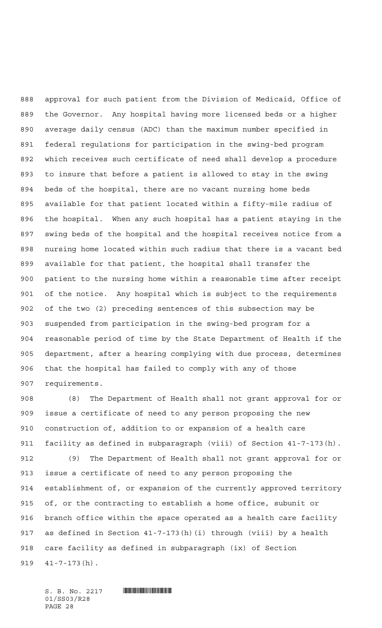approval for such patient from the Division of Medicaid, Office of the Governor. Any hospital having more licensed beds or a higher average daily census (ADC) than the maximum number specified in federal regulations for participation in the swing-bed program which receives such certificate of need shall develop a procedure to insure that before a patient is allowed to stay in the swing beds of the hospital, there are no vacant nursing home beds available for that patient located within a fifty-mile radius of the hospital. When any such hospital has a patient staying in the swing beds of the hospital and the hospital receives notice from a nursing home located within such radius that there is a vacant bed available for that patient, the hospital shall transfer the patient to the nursing home within a reasonable time after receipt of the notice. Any hospital which is subject to the requirements of the two (2) preceding sentences of this subsection may be suspended from participation in the swing-bed program for a reasonable period of time by the State Department of Health if the department, after a hearing complying with due process, determines that the hospital has failed to comply with any of those requirements.

 (8) The Department of Health shall not grant approval for or issue a certificate of need to any person proposing the new construction of, addition to or expansion of a health care facility as defined in subparagraph (viii) of Section 41-7-173(h). (9) The Department of Health shall not grant approval for or issue a certificate of need to any person proposing the establishment of, or expansion of the currently approved territory of, or the contracting to establish a home office, subunit or branch office within the space operated as a health care facility as defined in Section 41-7-173(h)(i) through (viii) by a health care facility as defined in subparagraph (ix) of Section 41-7-173(h).

 $S. B. No. 2217$  **WHICH CONSIDERED** 01/SS03/R28 PAGE 28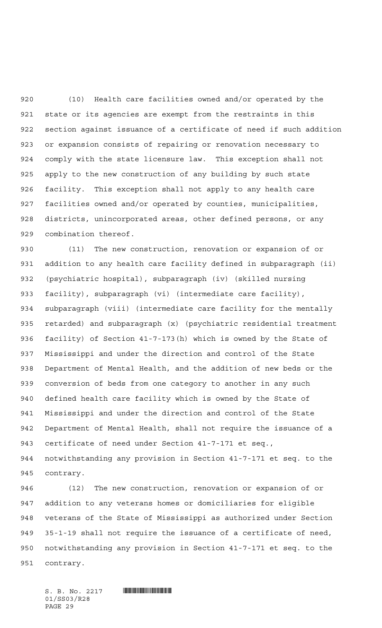(10) Health care facilities owned and/or operated by the state or its agencies are exempt from the restraints in this section against issuance of a certificate of need if such addition or expansion consists of repairing or renovation necessary to comply with the state licensure law. This exception shall not apply to the new construction of any building by such state facility. This exception shall not apply to any health care facilities owned and/or operated by counties, municipalities, districts, unincorporated areas, other defined persons, or any combination thereof.

 (11) The new construction, renovation or expansion of or addition to any health care facility defined in subparagraph (ii) (psychiatric hospital), subparagraph (iv) (skilled nursing facility), subparagraph (vi) (intermediate care facility), subparagraph (viii) (intermediate care facility for the mentally retarded) and subparagraph (x) (psychiatric residential treatment facility) of Section 41-7-173(h) which is owned by the State of Mississippi and under the direction and control of the State Department of Mental Health, and the addition of new beds or the conversion of beds from one category to another in any such defined health care facility which is owned by the State of Mississippi and under the direction and control of the State Department of Mental Health, shall not require the issuance of a certificate of need under Section 41-7-171 et seq., notwithstanding any provision in Section 41-7-171 et seq. to the contrary.

 (12) The new construction, renovation or expansion of or addition to any veterans homes or domiciliaries for eligible veterans of the State of Mississippi as authorized under Section 35-1-19 shall not require the issuance of a certificate of need, notwithstanding any provision in Section 41-7-171 et seq. to the contrary.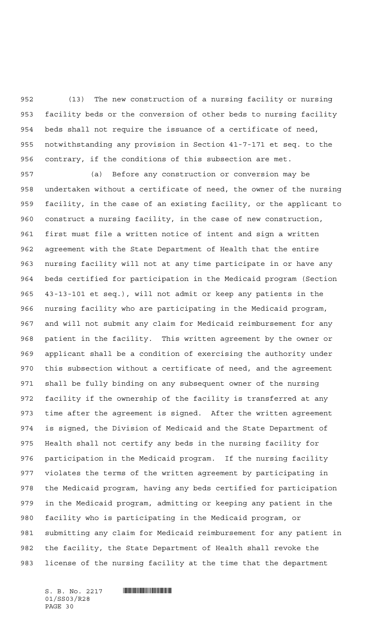(13) The new construction of a nursing facility or nursing facility beds or the conversion of other beds to nursing facility beds shall not require the issuance of a certificate of need, notwithstanding any provision in Section 41-7-171 et seq. to the contrary, if the conditions of this subsection are met.

 (a) Before any construction or conversion may be undertaken without a certificate of need, the owner of the nursing facility, in the case of an existing facility, or the applicant to construct a nursing facility, in the case of new construction, first must file a written notice of intent and sign a written agreement with the State Department of Health that the entire nursing facility will not at any time participate in or have any beds certified for participation in the Medicaid program (Section 43-13-101 et seq.), will not admit or keep any patients in the nursing facility who are participating in the Medicaid program, and will not submit any claim for Medicaid reimbursement for any patient in the facility. This written agreement by the owner or applicant shall be a condition of exercising the authority under this subsection without a certificate of need, and the agreement shall be fully binding on any subsequent owner of the nursing facility if the ownership of the facility is transferred at any time after the agreement is signed. After the written agreement is signed, the Division of Medicaid and the State Department of Health shall not certify any beds in the nursing facility for participation in the Medicaid program. If the nursing facility violates the terms of the written agreement by participating in the Medicaid program, having any beds certified for participation in the Medicaid program, admitting or keeping any patient in the facility who is participating in the Medicaid program, or submitting any claim for Medicaid reimbursement for any patient in the facility, the State Department of Health shall revoke the license of the nursing facility at the time that the department

 $S. B. No. 2217$  . The set of  $S. B. N_O. 2217$ 01/SS03/R28 PAGE 30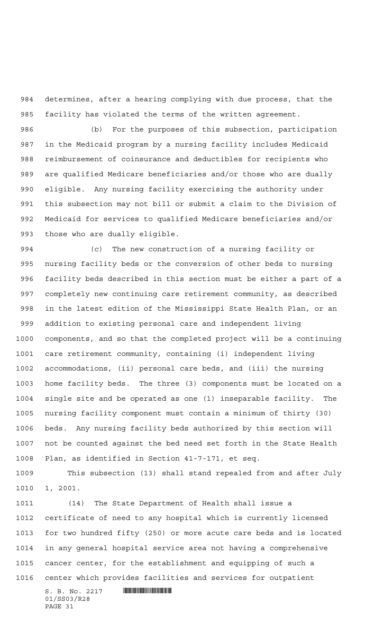determines, after a hearing complying with due process, that the facility has violated the terms of the written agreement.

 (b) For the purposes of this subsection, participation in the Medicaid program by a nursing facility includes Medicaid reimbursement of coinsurance and deductibles for recipients who are qualified Medicare beneficiaries and/or those who are dually eligible. Any nursing facility exercising the authority under this subsection may not bill or submit a claim to the Division of Medicaid for services to qualified Medicare beneficiaries and/or those who are dually eligible.

 (c) The new construction of a nursing facility or nursing facility beds or the conversion of other beds to nursing facility beds described in this section must be either a part of a completely new continuing care retirement community, as described in the latest edition of the Mississippi State Health Plan, or an addition to existing personal care and independent living components, and so that the completed project will be a continuing care retirement community, containing (i) independent living accommodations, (ii) personal care beds, and (iii) the nursing home facility beds. The three (3) components must be located on a single site and be operated as one (1) inseparable facility. The nursing facility component must contain a minimum of thirty (30) beds. Any nursing facility beds authorized by this section will not be counted against the bed need set forth in the State Health Plan, as identified in Section 41-7-171, et seq.

 This subsection (13) shall stand repealed from and after July 1, 2001.

 (14) The State Department of Health shall issue a certificate of need to any hospital which is currently licensed for two hundred fifty (250) or more acute care beds and is located in any general hospital service area not having a comprehensive cancer center, for the establishment and equipping of such a center which provides facilities and services for outpatient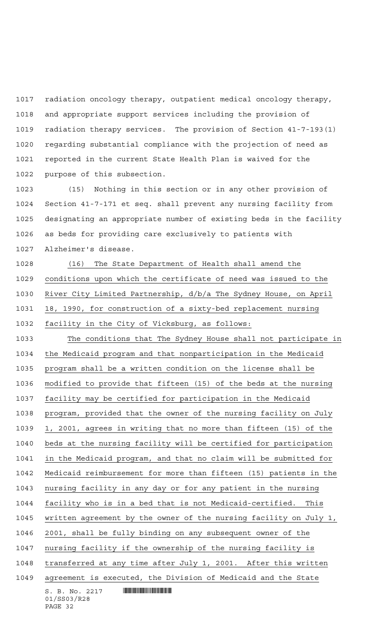radiation oncology therapy, outpatient medical oncology therapy, and appropriate support services including the provision of radiation therapy services. The provision of Section 41-7-193(1) regarding substantial compliance with the projection of need as reported in the current State Health Plan is waived for the purpose of this subsection.

 (15) Nothing in this section or in any other provision of Section 41-7-171 et seq. shall prevent any nursing facility from designating an appropriate number of existing beds in the facility as beds for providing care exclusively to patients with Alzheimer's disease.

 (16) The State Department of Health shall amend the conditions upon which the certificate of need was issued to the River City Limited Partnership, d/b/a The Sydney House, on April 18, 1990, for construction of a sixty-bed replacement nursing facility in the City of Vicksburg, as follows:

 $S. B. No. 2217$  **INSTERNAL SET AND ALL STATES**  The conditions that The Sydney House shall not participate in the Medicaid program and that nonparticipation in the Medicaid program shall be a written condition on the license shall be modified to provide that fifteen (15) of the beds at the nursing facility may be certified for participation in the Medicaid program, provided that the owner of the nursing facility on July 1, 2001, agrees in writing that no more than fifteen (15) of the beds at the nursing facility will be certified for participation in the Medicaid program, and that no claim will be submitted for Medicaid reimbursement for more than fifteen (15) patients in the nursing facility in any day or for any patient in the nursing facility who is in a bed that is not Medicaid-certified. This written agreement by the owner of the nursing facility on July 1, 2001, shall be fully binding on any subsequent owner of the nursing facility if the ownership of the nursing facility is 1048 transferred at any time after July 1, 2001. After this written agreement is executed, the Division of Medicaid and the State